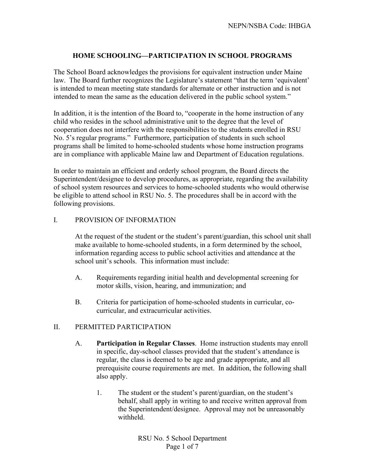## **HOME SCHOOLING—PARTICIPATION IN SCHOOL PROGRAMS**

The School Board acknowledges the provisions for equivalent instruction under Maine law. The Board further recognizes the Legislature's statement "that the term 'equivalent' is intended to mean meeting state standards for alternate or other instruction and is not intended to mean the same as the education delivered in the public school system."

In addition, it is the intention of the Board to, "cooperate in the home instruction of any child who resides in the school administrative unit to the degree that the level of cooperation does not interfere with the responsibilities to the students enrolled in RSU No. 5's regular programs." Furthermore, participation of students in such school programs shall be limited to home-schooled students whose home instruction programs are in compliance with applicable Maine law and Department of Education regulations.

In order to maintain an efficient and orderly school program, the Board directs the Superintendent/designee to develop procedures, as appropriate, regarding the availability of school system resources and services to home-schooled students who would otherwise be eligible to attend school in RSU No. 5. The procedures shall be in accord with the following provisions.

#### I. PROVISION OF INFORMATION

At the request of the student or the student's parent/guardian, this school unit shall make available to home-schooled students, in a form determined by the school, information regarding access to public school activities and attendance at the school unit's schools. This information must include:

- A. Requirements regarding initial health and developmental screening for motor skills, vision, hearing, and immunization; and
- B. Criteria for participation of home-schooled students in curricular, cocurricular, and extracurricular activities.

### II. PERMITTED PARTICIPATION

- A. **Participation in Regular Classes**. Home instruction students may enroll in specific, day-school classes provided that the student's attendance is regular, the class is deemed to be age and grade appropriate, and all prerequisite course requirements are met. In addition, the following shall also apply.
	- 1. The student or the student's parent/guardian, on the student's behalf, shall apply in writing to and receive written approval from the Superintendent/designee. Approval may not be unreasonably withheld.

RSU No. 5 School Department Page 1 of 7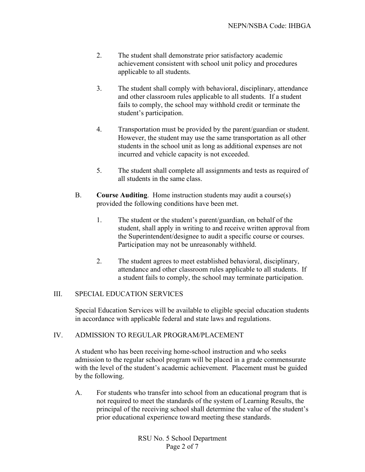- 2. The student shall demonstrate prior satisfactory academic achievement consistent with school unit policy and procedures applicable to all students.
- 3. The student shall comply with behavioral, disciplinary, attendance and other classroom rules applicable to all students. If a student fails to comply, the school may withhold credit or terminate the student's participation.
- 4. Transportation must be provided by the parent/guardian or student. However, the student may use the same transportation as all other students in the school unit as long as additional expenses are not incurred and vehicle capacity is not exceeded.
- 5. The student shall complete all assignments and tests as required of all students in the same class.
- B. **Course Auditing**. Home instruction students may audit a course(s) provided the following conditions have been met.
	- 1. The student or the student's parent/guardian, on behalf of the student, shall apply in writing to and receive written approval from the Superintendent/designee to audit a specific course or courses. Participation may not be unreasonably withheld.
	- 2. The student agrees to meet established behavioral, disciplinary, attendance and other classroom rules applicable to all students. If a student fails to comply, the school may terminate participation.

### III. SPECIAL EDUCATION SERVICES

Special Education Services will be available to eligible special education students in accordance with applicable federal and state laws and regulations.

#### IV. ADMISSION TO REGULAR PROGRAM/PLACEMENT

A student who has been receiving home-school instruction and who seeks admission to the regular school program will be placed in a grade commensurate with the level of the student's academic achievement. Placement must be guided by the following.

A. For students who transfer into school from an educational program that is not required to meet the standards of the system of Learning Results, the principal of the receiving school shall determine the value of the student's prior educational experience toward meeting these standards.

> RSU No. 5 School Department Page 2 of 7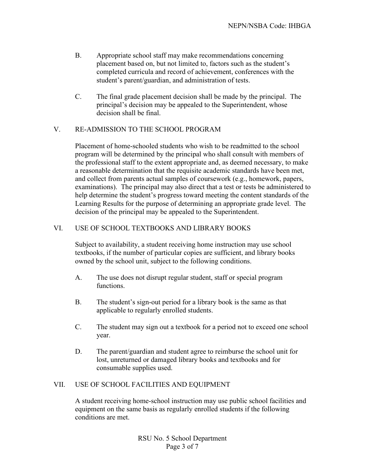- B. Appropriate school staff may make recommendations concerning placement based on, but not limited to, factors such as the student's completed curricula and record of achievement, conferences with the student's parent/guardian, and administration of tests.
- C. The final grade placement decision shall be made by the principal. The principal's decision may be appealed to the Superintendent, whose decision shall be final.

# V. RE-ADMISSION TO THE SCHOOL PROGRAM

Placement of home-schooled students who wish to be readmitted to the school program will be determined by the principal who shall consult with members of the professional staff to the extent appropriate and, as deemed necessary, to make a reasonable determination that the requisite academic standards have been met, and collect from parents actual samples of coursework (e.g., homework, papers, examinations). The principal may also direct that a test or tests be administered to help determine the student's progress toward meeting the content standards of the Learning Results for the purpose of determining an appropriate grade level. The decision of the principal may be appealed to the Superintendent.

### VI. USE OF SCHOOL TEXTBOOKS AND LIBRARY BOOKS

Subject to availability, a student receiving home instruction may use school textbooks, if the number of particular copies are sufficient, and library books owned by the school unit, subject to the following conditions.

- A. The use does not disrupt regular student, staff or special program functions.
- B. The student's sign-out period for a library book is the same as that applicable to regularly enrolled students.
- C. The student may sign out a textbook for a period not to exceed one school year.
- D. The parent/guardian and student agree to reimburse the school unit for lost, unreturned or damaged library books and textbooks and for consumable supplies used.

### VII. USE OF SCHOOL FACILITIES AND EQUIPMENT

A student receiving home-school instruction may use public school facilities and equipment on the same basis as regularly enrolled students if the following conditions are met.

> RSU No. 5 School Department Page 3 of 7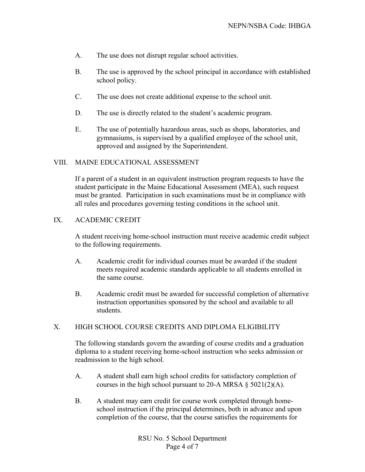- A. The use does not disrupt regular school activities.
- B. The use is approved by the school principal in accordance with established school policy.
- C. The use does not create additional expense to the school unit.
- D. The use is directly related to the student's academic program.
- E. The use of potentially hazardous areas, such as shops, laboratories, and gymnasiums, is supervised by a qualified employee of the school unit, approved and assigned by the Superintendent.

#### VIII. MAINE EDUCATIONAL ASSESSMENT

If a parent of a student in an equivalent instruction program requests to have the student participate in the Maine Educational Assessment (MEA), such request must be granted. Participation in such examinations must be in compliance with all rules and procedures governing testing conditions in the school unit.

### IX. ACADEMIC CREDIT

A student receiving home-school instruction must receive academic credit subject to the following requirements.

- A. Academic credit for individual courses must be awarded if the student meets required academic standards applicable to all students enrolled in the same course.
- B. Academic credit must be awarded for successful completion of alternative instruction opportunities sponsored by the school and available to all students.

### X. HIGH SCHOOL COURSE CREDITS AND DIPLOMA ELIGIBILITY

The following standards govern the awarding of course credits and a graduation diploma to a student receiving home-school instruction who seeks admission or readmission to the high school.

- A. A student shall earn high school credits for satisfactory completion of courses in the high school pursuant to 20-A MRSA  $\S$  5021(2)(A).
- B. A student may earn credit for course work completed through homeschool instruction if the principal determines, both in advance and upon completion of the course, that the course satisfies the requirements for

RSU No. 5 School Department Page 4 of 7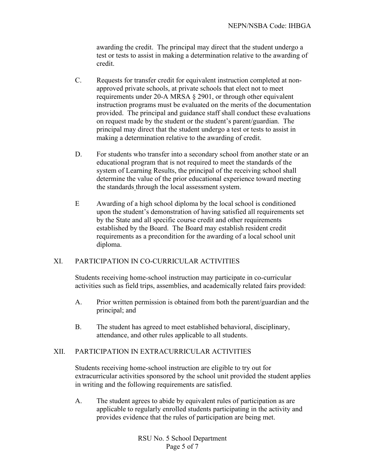awarding the credit. The principal may direct that the student undergo a test or tests to assist in making a determination relative to the awarding of credit.

- C. Requests for transfer credit for equivalent instruction completed at nonapproved private schools, at private schools that elect not to meet requirements under 20-A MRSA § 2901, or through other equivalent instruction programs must be evaluated on the merits of the documentation provided. The principal and guidance staff shall conduct these evaluations on request made by the student or the student's parent/guardian. The principal may direct that the student undergo a test or tests to assist in making a determination relative to the awarding of credit.
- D. For students who transfer into a secondary school from another state or an educational program that is not required to meet the standards of the system of Learning Results, the principal of the receiving school shall determine the value of the prior educational experience toward meeting the standards through the local assessment system.
- E Awarding of a high school diploma by the local school is conditioned upon the student's demonstration of having satisfied all requirements set by the State and all specific course credit and other requirements established by the Board. The Board may establish resident credit requirements as a precondition for the awarding of a local school unit diploma.

### XI. PARTICIPATION IN CO-CURRICULAR ACTIVITIES

Students receiving home-school instruction may participate in co-curricular activities such as field trips, assemblies, and academically related fairs provided:

- A. Prior written permission is obtained from both the parent/guardian and the principal; and
- B. The student has agreed to meet established behavioral, disciplinary, attendance, and other rules applicable to all students.

#### XII. PARTICIPATION IN EXTRACURRICULAR ACTIVITIES

Students receiving home-school instruction are eligible to try out for extracurricular activities sponsored by the school unit provided the student applies in writing and the following requirements are satisfied.

A. The student agrees to abide by equivalent rules of participation as are applicable to regularly enrolled students participating in the activity and provides evidence that the rules of participation are being met.

> RSU No. 5 School Department Page 5 of 7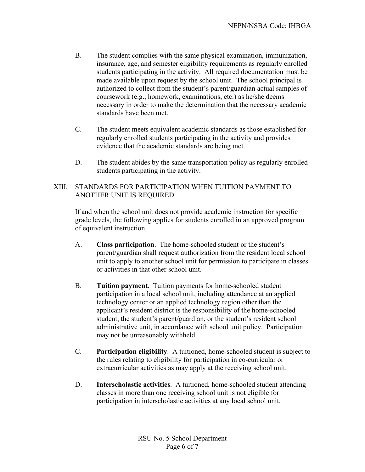- B. The student complies with the same physical examination, immunization, insurance, age, and semester eligibility requirements as regularly enrolled students participating in the activity. All required documentation must be made available upon request by the school unit. The school principal is authorized to collect from the student's parent/guardian actual samples of coursework (e.g., homework, examinations, etc.) as he/she deems necessary in order to make the determination that the necessary academic standards have been met.
- C. The student meets equivalent academic standards as those established for regularly enrolled students participating in the activity and provides evidence that the academic standards are being met.
- D. The student abides by the same transportation policy as regularly enrolled students participating in the activity.

# XIII. STANDARDS FOR PARTICIPATION WHEN TUITION PAYMENT TO ANOTHER UNIT IS REQUIRED

If and when the school unit does not provide academic instruction for specific grade levels, the following applies for students enrolled in an approved program of equivalent instruction.

- A. **Class participation**. The home-schooled student or the student's parent/guardian shall request authorization from the resident local school unit to apply to another school unit for permission to participate in classes or activities in that other school unit.
- B. **Tuition payment**. Tuition payments for home-schooled student participation in a local school unit, including attendance at an applied technology center or an applied technology region other than the applicant's resident district is the responsibility of the home-schooled student, the student's parent/guardian, or the student's resident school administrative unit, in accordance with school unit policy. Participation may not be unreasonably withheld.
- C. **Participation eligibility**. A tuitioned, home-schooled student is subject to the rules relating to eligibility for participation in co-curricular or extracurricular activities as may apply at the receiving school unit.
- D. **Interscholastic activities**. A tuitioned, home-schooled student attending classes in more than one receiving school unit is not eligible for participation in interscholastic activities at any local school unit.